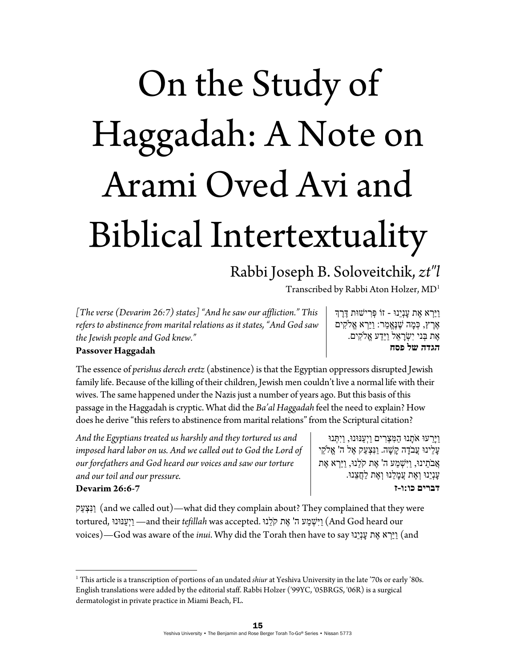# On the Study of Haggadah: A Note on Arami Oved Avi and Biblical Intertextuality

## Rabbi Joseph B. Soloveitchik, *zt"l*

Transcribed by Rabbi Aton Holzer, MD1

*[The verse (Devarim 26:7) states] "And he saw our affliction." This refers to abstinence from marital relations as it states, "And God saw the Jewish people and God knew."* 

ַויַּ ְרא ֶאת ָענְיֵנוּ - זוֹ ְפּ ִרישׁוּת ֶדֶּרְך  $\mathbb{R}$ ָרץ, כִּמָה שֶׁנֶּאֱמַר: וַיַּרְא אֱלֹקִים ָאֶת בְּני יִשְׂרָאֵל וַיֵּדַע אֱלֹקִים. **הגדה של פסח**

### **Passover Haggadah**

The essence of *perishus derech eretz* (abstinence) is that the Egyptian oppressors disrupted Jewish family life. Because of the killing of their children, Jewish men couldn't live a normal life with their wives. The same happened under the Nazis just a number of years ago. But this basis of this passage in the Haggadah is cryptic. What did the *Ba'al Haggadah* feel the need to explain? How does he derive "this refers to abstinence from marital relations" from the Scriptural citation?

*And the Egyptians treated us harshly and they tortured us and*  imposed hard labor on us. And we called out to God the Lord of *our forefathers and God heard our voices and saw our torture and our toil and our pressure.* 

ַויֵָּרעוּ אָֹתנוּ ַה ִמּ ְצ ִרים ַויְ ַענּוּנוּ, ַויִ ְתּנוּ ָע ֵלינוּ ֲעבָֹדה ָק ָשׁה. ַונִּ ְצ ַעק ֶאל ה' ֱא ֵֹלקי ֲאבֵֹתינוּ, ַויִּ ְשׁ ַמע ה' ֶאת קֵֹלנוּ, ַויַּ ְרא ֶאת ָענְיֵנוּ ְו ֶאת ֲע ָמ ֵלנוּ ְו ֶאת ַל ֲח ֵצנוּ. **דברים כו:ו-ז**

#### **Devarim 26:6-7**

ַנְּצָעַק (and we called out)—what did they complain about? They complained that they were tortured, ענּוּנוַּ ְויַ— and their *tefillah* was accepted. לנוֵֹּק אתֶ' ה מעַ שְׁ ִויַּ) And God heard our voices)—God was aware of the *inui*. Why did the Torah then have to say נוֵּיְענָ אתֶ ראְ ַויַּ) and

<sup>1</sup> This article is a transcription of portions of an undated *shiur* at Yeshiva University in the late '70s or early '80s. English translations were added by the editorial staff. Rabbi Holzer ('99YC, '05BRGS, '06R) is a surgical dermatologist in private practice in Miami Beach, FL.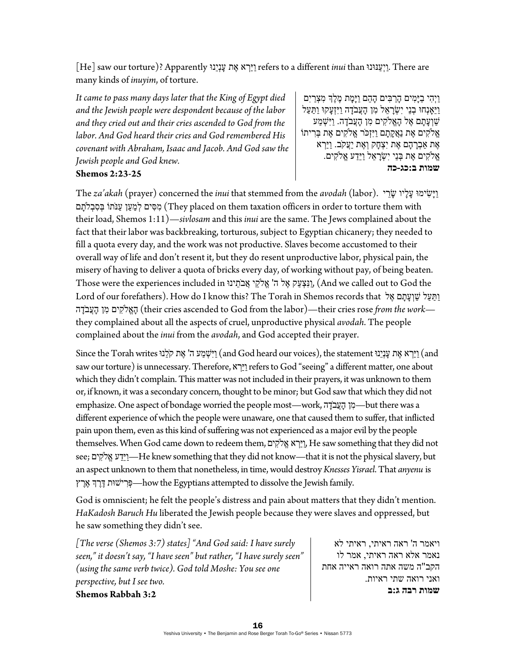[He] saw our torture)? Apparently נוֵּיְענָ אתֶ ראְ ַויַּ refers to a different *inui* than ענּוּנוַּ ְויַ. There are many kinds of *inuyim*, of torture.

*It came to pass many days later that the King of Egypt died and the Jewish people were despondent because of the labor and they cried out and their cries ascended to God from the labor. And God heard their cries and God remembered His covenant with Abraham, Isaac and Jacob. And God saw the Jewish people and God knew.* 

#### **Shemos 2:23-25**

ַוְיְהִי בַיָּמִים הָרַבִּים הָהֵם וַיָּמָת מֶלֶךְ מִצְרַיִם ַויֵּאָנְחוּ ְבנֵי יִ ְשָׂר ֵאל ִמן ָהֲעבָֹדה ַויִּזְ ָעקוּ ַו ַתּ ַעל ֿשַׁוְעָתָם אֶל הָאֱלֹקִים מִן הָעֲבֹדָה. וַיִּשְׁמַע ֱא ִֹלקים ֶאת נֲַא ָק ָתם ַויִּזְכֹּר ֱא ִֹלקים ֶאת ְבּ ִריתוֹ ָאֶת אַבְרָהָם אֶת יִצְחָק וְאֶת יַעֲקֹב. וַיַּרְא ֱא ִֹלקים ֶאת ְבּנֵי יִ ְשָׂר ֵאל ַויֵַּדע ֱא ִֹלקים. **שמות ב:כג-כה**

The *za'akah* (prayer) concerned the *inui* that stemmed from the *avodah* (labor). ריֵשָׂ ליוָ עָ שׂימוִּ ָויַּ מְסִים לְמַעֲן עֲנֹתוֹ בִּסְבָלֹתֲם (They placed on them taxation officers in order to torture them with their load, Shemos 1:11)—*sivlosam* and this *inui* are the same. The Jews complained about the fact that their labor was backbreaking, torturous, subject to Egyptian chicanery; they needed to fill a quota every day, and the work was not productive. Slaves become accustomed to their overall way of life and don't resent it, but they do resent unproductive labor, physical pain, the misery of having to deliver a quota of bricks every day, of working without pay, of being beaten. Those were the experiences included in תינוֵֹּאבֲ לקיֵֹ אֱ' ה אלֶ עקַ צְ ִונַּ,) And we called out to God the Lord of our forefathers). How do I know this? The Torah in Shemos records that אֲל שַׁ וְעַתָּם אֶל דהָֹעבֲהָ מןִ לקיםִֹ אֱהָ) their cries ascended to God from the labor)—their cries rose *from the work* they complained about all the aspects of cruel, unproductive physical *avodah*. The people complained about the *inui* from the *avodah*, and God accepted their prayer.

Since the Torah writes וַיָּלְנוּ statement (ְיִשְׁמַע ה' אֶת קַלְנוּ statement) הַיִּךְא אֶת עֲנָיָנוּ since the Torah writes (הֵישְׁמַע ה' יָאֶת קַלְנוּ since the Torah writes ) saw our torture) is unnecessary. Therefore, ראְ ַויַּ refers to God "seeing" a different matter, one about which they didn't complain. This matter was not included in their prayers, it was unknown to them or, if known, it was a secondary concern, thought to be minor; but God saw that which they did not emphasize. One aspect of bondage worried the people most—work, בְּעֲבֹדָה but there was a different experience of which the people were unaware, one that caused them to suffer, that inflicted pain upon them, even as this kind of suffering was not experienced as a major evil by the people themselves. When God came down to redeem them, לקיםִֹ אֱ ראְ ַויַּ, He saw something that they did not see; לקיםִֹ אֱ דעֵַויַּ—He knew something that they did not know—that it is not the physical slavery, but an aspect unknown to them that nonetheless, in time, would destroy *Knesses Yisrael*. That *anyenu* is רץֶאֶ ךְרֶדֶּ רישׁוּתִ פְּ— how the Egyptians attempted to dissolve the Jewish family.

God is omniscient; he felt the people's distress and pain about matters that they didn't mention. *HaKadosh Baruch Hu* liberated the Jewish people because they were slaves and oppressed, but he saw something they didn't see.

*[The verse (Shemos 3:7) states] "And God said: I have surely seen," it doesn't say, "I have seen" but rather, "I have surely seen" (using the same verb twice). God told Moshe: You see one perspective, but I see two.*  **Shemos Rabbah 3:2** 

ויאמר ה' ראה ראיתי, ראיתי לא נאמר אלא ראה ראיתי, אמר לו הקב"ה משה אתה רואה ראייה אחת ואני רואה שתי ראיות. **שמות רבה ג:ב**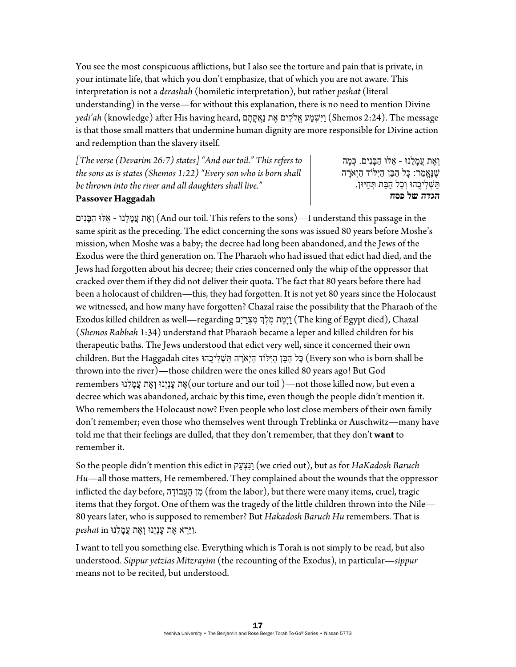You see the most conspicuous afflictions, but I also see the torture and pain that is private, in your intimate life, that which you don't emphasize, that of which you are not aware. This interpretation is not a *derashah* (homiletic interpretation), but rather *peshat* (literal understanding) in the verse—for without this explanation, there is no need to mention Divine  $~$ redi'ah (knowledge) after His having heard, ויֹשֶׁמע אֱלֹקִים אֶת נַאֲקְתָּם (*Shemos 2:24*). The message is that those small matters that undermine human dignity are more responsible for Divine action and redemption than the slavery itself.

*[The verse (Devarim 26:7) states] "And our toil." This refers to the sons as is states (Shemos 1:22) "Every son who is born shall be thrown into the river and all daughters shall live."* 

ְו ֶאת ֲע ָמ ֵלנוּ - ֵאלּוּ ַה ָבּנִים. ְכּ ָמה ָשׁנֵאֲמר: כּל הבּן הייִלוֹד היְאֹרה הַ יִשְׁלִיכָהוּ וְכַל הַבַּת תְּחַיּוּן. **הגדה של פסח**

#### **Passover Haggadah**

יִאֶת עֲמַלְנוּ - אֶלּוּ הַבַּנִים) (And our toil. This refers to the sons)—I understand this passage in the same spirit as the preceding. The edict concerning the sons was issued 80 years before Moshe's mission, when Moshe was a baby; the decree had long been abandoned, and the Jews of the Exodus were the third generation on. The Pharaoh who had issued that edict had died, and the Jews had forgotten about his decree; their cries concerned only the whip of the oppressor that cracked over them if they did not deliver their quota. The fact that 80 years before there had been a holocaust of children—this, they had forgotten. It is not yet 80 years since the Holocaust we witnessed, and how many have forgotten? Chazal raise the possibility that the Pharaoh of the Exodus killed children as well—regarding הַיָּמָת מֶלֶךְ מִצְרַיִם (The king of Egypt died), Chazal (*Shemos Rabbah* 1:34) understand that Pharaoh became a leper and killed children for his therapeutic baths. The Jews understood that edict very well, since it concerned their own children. But the Haggadah cites כִּל הַבֵּן הַיִּלּוֹד הַיְאֹרָה פַּעֹשְלִיכָהוּ (Every son who is born shall be thrown into the river)—those children were the ones killed 80 years ago! But God remembers לנוֵּ מָ עֲ אתֶ וְ נוֵּיְענָ אתֶ) our torture and our toil )—not those killed now, but even a decree which was abandoned, archaic by this time, even though the people didn't mention it. Who remembers the Holocaust now? Even people who lost close members of their own family don't remember; even those who themselves went through Treblinka or Auschwitz—many have told me that their feelings are dulled, that they don't remember, that they don't **want** to remember it.

So the people didn't mention this edict in עקַ צְ ִונַּ) we cried out), but as for *HaKadosh Baruch Hu*—all those matters, He remembered. They complained about the wounds that the oppressor inflicted the day before, בוֹדה ָ עֲהָ מןִ) from the labor), but there were many items, cruel, tragic items that they forgot. One of them was the tragedy of the little children thrown into the Nile— 80 years later, who is supposed to remember? But *Hakadosh Baruch Hu* remembers. That is ַ.ויַּ ְרא ֶאת ָענְיֵנוּ ְו ֶאת ֲע ָמ ֵלנוּ in *peshat*

I want to tell you something else. Everything which is Torah is not simply to be read, but also understood. *Sippur yetzias Mitzrayim* (the recounting of the Exodus), in particular—*sippur* means not to be recited, but understood.